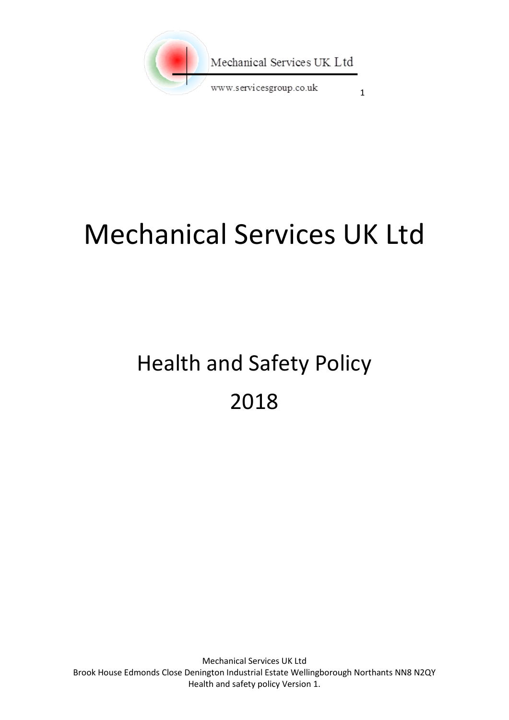

# Mechanical Services UK Ltd

# Health and Safety Policy 2018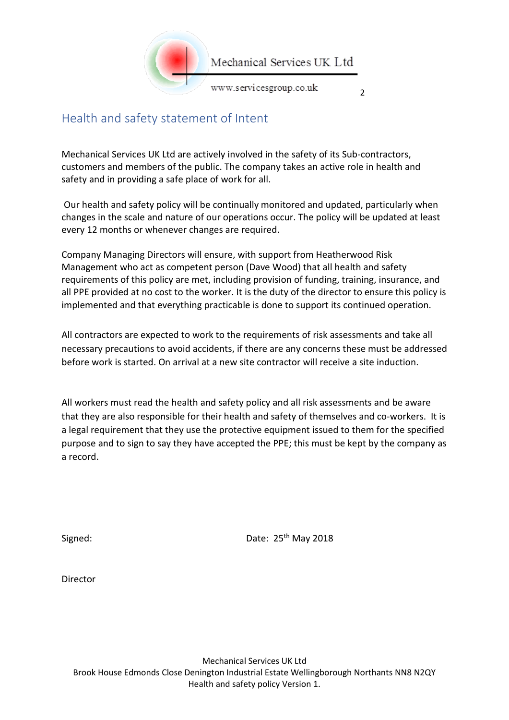

 $\overline{2}$ 

#### <span id="page-1-0"></span>Health and safety statement of Intent

Mechanical Services UK Ltd are actively involved in the safety of its Sub-contractors, customers and members of the public. The company takes an active role in health and safety and in providing a safe place of work for all.

Our health and safety policy will be continually monitored and updated, particularly when changes in the scale and nature of our operations occur. The policy will be updated at least every 12 months or whenever changes are required.

Company Managing Directors will ensure, with support from Heatherwood Risk Management who act as competent person (Dave Wood) that all health and safety requirements of this policy are met, including provision of funding, training, insurance, and all PPE provided at no cost to the worker. It is the duty of the director to ensure this policy is implemented and that everything practicable is done to support its continued operation.

All contractors are expected to work to the requirements of risk assessments and take all necessary precautions to avoid accidents, if there are any concerns these must be addressed before work is started. On arrival at a new site contractor will receive a site induction.

All workers must read the health and safety policy and all risk assessments and be aware that they are also responsible for their health and safety of themselves and co-workers. It is a legal requirement that they use the protective equipment issued to them for the specified purpose and to sign to say they have accepted the PPE; this must be kept by the company as a record.

Signed: Date: 25<sup>th</sup> May 2018

Director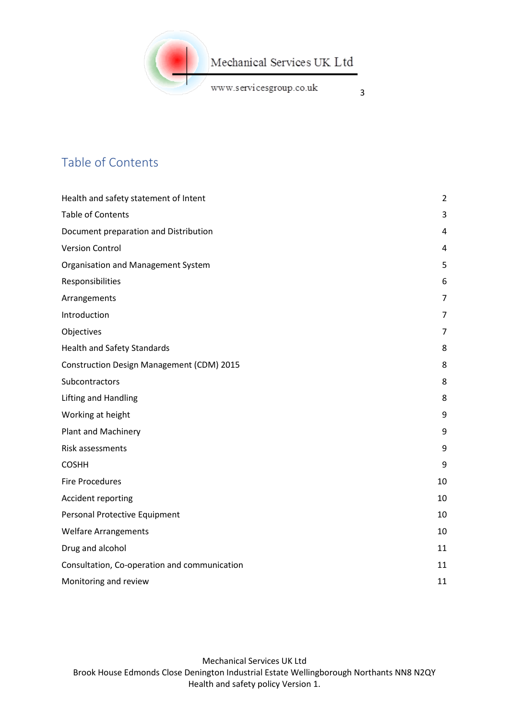

3

www.servicesgroup.co.uk

<span id="page-2-0"></span>Table of Contents

| Health and safety statement of Intent        | 2              |
|----------------------------------------------|----------------|
| <b>Table of Contents</b>                     | 3              |
| Document preparation and Distribution        | 4              |
| <b>Version Control</b>                       | 4              |
| Organisation and Management System           | 5              |
| Responsibilities                             | 6              |
| Arrangements                                 | $\overline{7}$ |
| Introduction                                 | 7              |
| Objectives                                   | $\overline{7}$ |
| <b>Health and Safety Standards</b>           | 8              |
| Construction Design Management (CDM) 2015    | 8              |
| Subcontractors                               | 8              |
| <b>Lifting and Handling</b>                  | 8              |
| Working at height                            | 9              |
| Plant and Machinery                          | 9              |
| Risk assessments                             | 9              |
| <b>COSHH</b>                                 | 9              |
| <b>Fire Procedures</b>                       | 10             |
| Accident reporting                           | 10             |
| Personal Protective Equipment                | 10             |
| <b>Welfare Arrangements</b>                  | 10             |
| Drug and alcohol                             | 11             |
| Consultation, Co-operation and communication | 11             |
| Monitoring and review                        | 11             |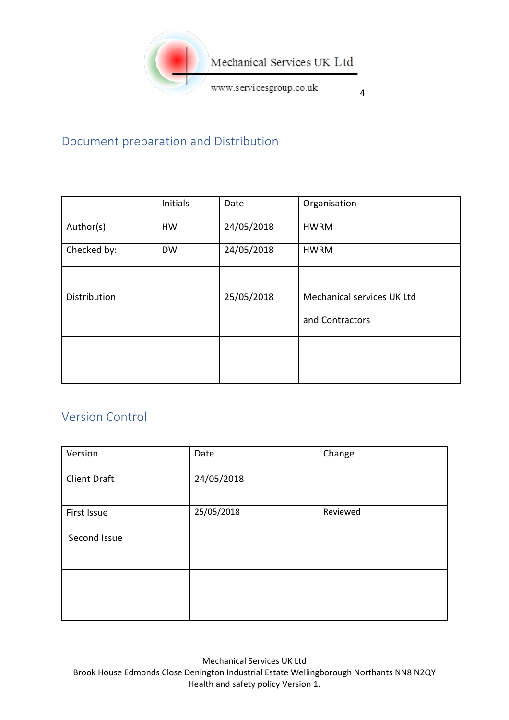

4

# <span id="page-3-0"></span>Document preparation and Distribution

|              | Initials  | Date       | Organisation               |
|--------------|-----------|------------|----------------------------|
| Author(s)    | <b>HW</b> | 24/05/2018 | <b>HWRM</b>                |
| Checked by:  | <b>DW</b> | 24/05/2018 | <b>HWRM</b>                |
|              |           |            |                            |
| Distribution |           | 25/05/2018 | Mechanical services UK Ltd |
|              |           |            | and Contractors            |
|              |           |            |                            |
|              |           |            |                            |

# <span id="page-3-1"></span>Version Control

| Version             | Date       | Change   |
|---------------------|------------|----------|
| <b>Client Draft</b> | 24/05/2018 |          |
| First Issue         | 25/05/2018 | Reviewed |
| Second Issue        |            |          |
|                     |            |          |
|                     |            |          |

Mechanical Services UK Ltd Brook House Edmonds Close Denington Industrial Estate Wellingborough Northants NN8 N2QY Health and safety policy Version 1.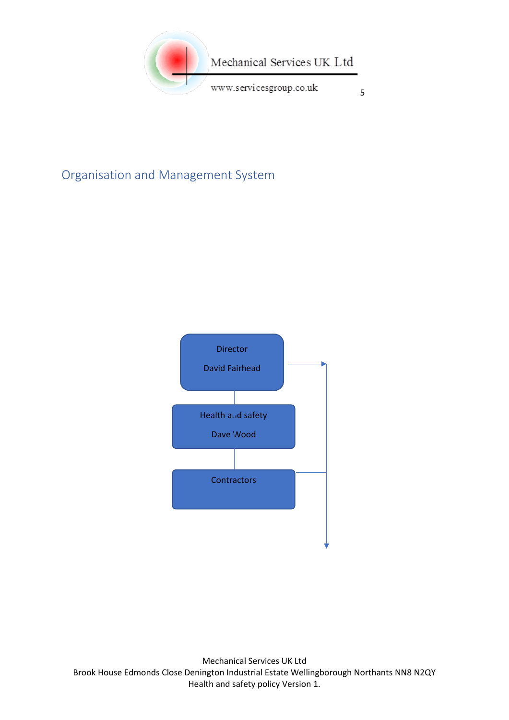

# <span id="page-4-0"></span>Organisation and Management System

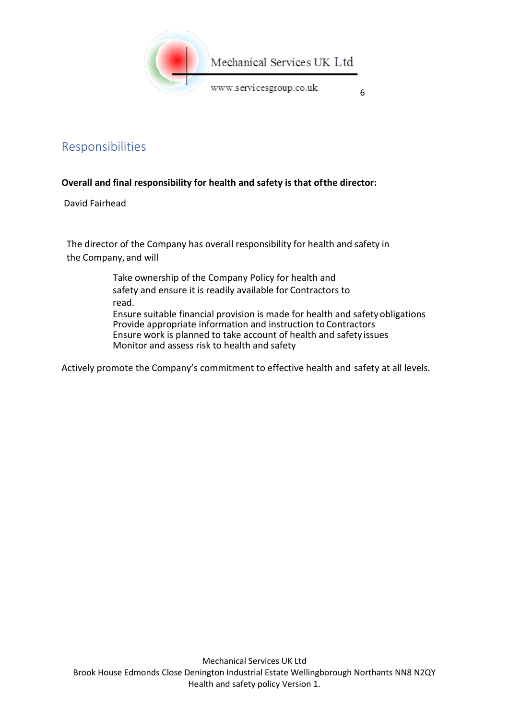

<span id="page-5-0"></span>Responsibilities

#### **Overall and final responsibility for health and safety is that ofthe director:**

David Fairhead

The director of the Company has overall responsibility for health and safety in the Company, and will

> Take ownership of the Company Policy for health and safety and ensure it is readily available for Contractors to read.

Ensure suitable financial provision is made for health and safetyobligations Provide appropriate information and instruction to Contractors Ensure work is planned to take account of health and safety issues Monitor and assess risk to health and safety

Actively promote the Company's commitment to effective health and safety at all levels.

6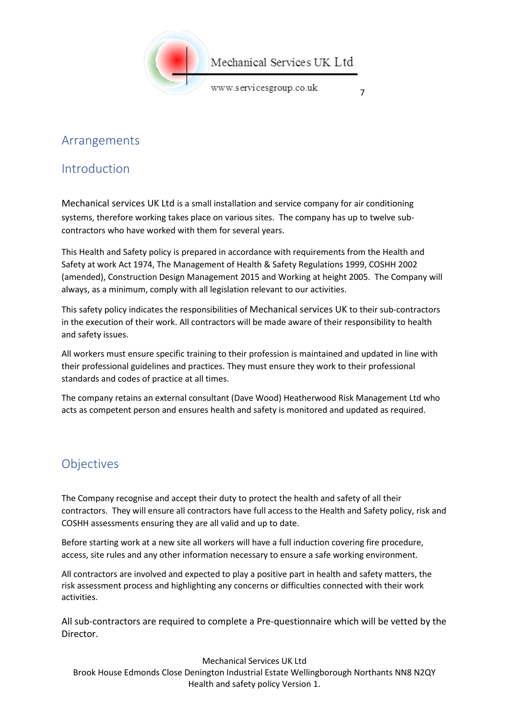

#### Mechanical Services UK Ltd

www.servicesgroup.co.uk

7

#### <span id="page-6-0"></span>Arrangements

#### <span id="page-6-1"></span>Introduction

Mechanical services UK Ltd is a small installation and service company for air conditioning systems, therefore working takes place on various sites. The company has up to twelve subcontractors who have worked with them for several years.

This Health and Safety policy is prepared in accordance with requirements from the Health and Safety at work Act 1974, The Management of Health & Safety Regulations 1999, COSHH 2002 (amended), Construction Design Management 2015 and Working at height 2005. The Company will always, as a minimum, comply with all legislation relevant to our activities.

This safety policy indicates the responsibilities of Mechanical services UK to their sub-contractors in the execution of their work. All contractors will be made aware of their responsibility to health and safety issues.

All workers must ensure specific training to their profession is maintained and updated in line with their professional guidelines and practices. They must ensure they work to their professional standards and codes of practice at all times.

The company retains an external consultant (Dave Wood) Heatherwood Risk Management Ltd who acts as competent person and ensures health and safety is monitored and updated as required.

#### <span id="page-6-2"></span>**Objectives**

The Company recognise and accept their duty to protect the health and safety of all their contractors. They will ensure all contractors have full access to the Health and Safety policy, risk and COSHH assessments ensuring they are all valid and up to date.

Before starting work at a new site all workers will have a full induction covering fire procedure, access, site rules and any other information necessary to ensure a safe working environment.

All contractors are involved and expected to play a positive part in health and safety matters, the risk assessment process and highlighting any concerns or difficulties connected with their work activities.

All sub-contractors are required to complete a Pre-questionnaire which will be vetted by the Director.

Mechanical Services UK Ltd Brook House Edmonds Close Denington Industrial Estate Wellingborough Northants NN8 N2QY Health and safety policy Version 1.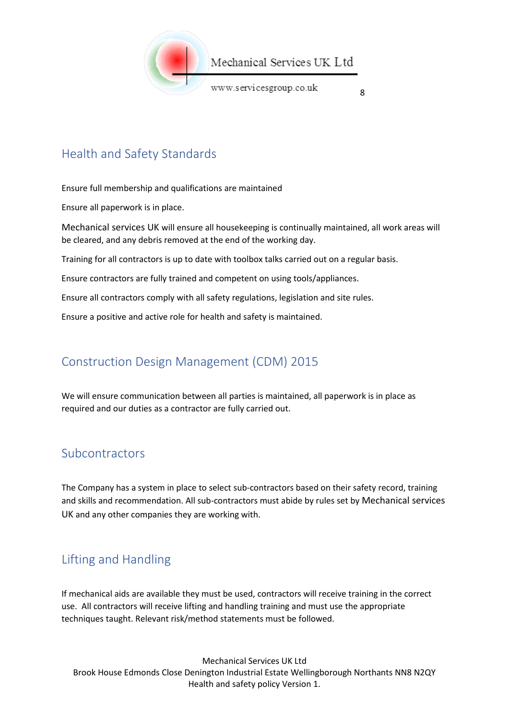

8

# <span id="page-7-0"></span>Health and Safety Standards

Ensure full membership and qualifications are maintained

Ensure all paperwork is in place.

Mechanical services UK will ensure all housekeeping is continually maintained, all work areas will be cleared, and any debris removed at the end of the working day.

Training for all contractors is up to date with toolbox talks carried out on a regular basis.

Ensure contractors are fully trained and competent on using tools/appliances.

Ensure all contractors comply with all safety regulations, legislation and site rules.

Ensure a positive and active role for health and safety is maintained.

# <span id="page-7-1"></span>Construction Design Management (CDM) 2015

We will ensure communication between all parties is maintained, all paperwork is in place as required and our duties as a contractor are fully carried out.

#### <span id="page-7-2"></span>Subcontractors

The Company has a system in place to select sub-contractors based on their safety record, training and skills and recommendation. All sub-contractors must abide by rules set by Mechanical services UK and any other companies they are working with.

# <span id="page-7-3"></span>Lifting and Handling

If mechanical aids are available they must be used, contractors will receive training in the correct use. All contractors will receive lifting and handling training and must use the appropriate techniques taught. Relevant risk/method statements must be followed.

Mechanical Services UK Ltd Brook House Edmonds Close Denington Industrial Estate Wellingborough Northants NN8 N2QY Health and safety policy Version 1.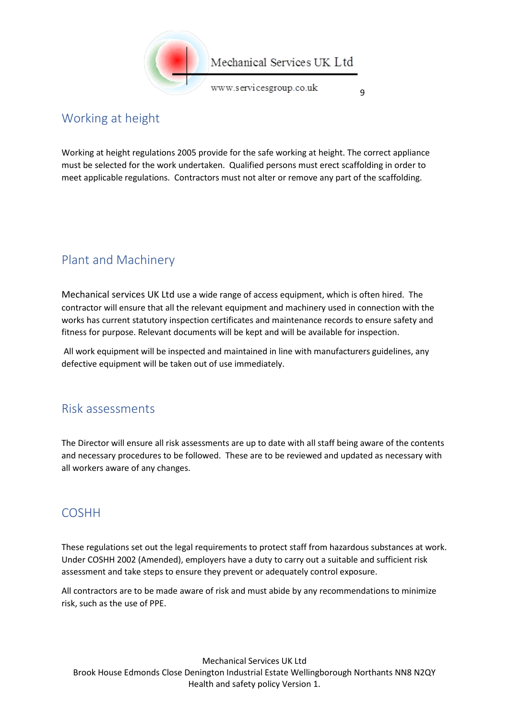

9

### <span id="page-8-0"></span>Working at height

Working at height regulations 2005 provide for the safe working at height. The correct appliance must be selected for the work undertaken. Qualified persons must erect scaffolding in order to meet applicable regulations. Contractors must not alter or remove any part of the scaffolding.

# <span id="page-8-1"></span>Plant and Machinery

Mechanical services UK Ltd use a wide range of access equipment, which is often hired. The contractor will ensure that all the relevant equipment and machinery used in connection with the works has current statutory inspection certificates and maintenance records to ensure safety and fitness for purpose. Relevant documents will be kept and will be available for inspection.

All work equipment will be inspected and maintained in line with manufacturers guidelines, any defective equipment will be taken out of use immediately.

#### <span id="page-8-2"></span>Risk assessments

The Director will ensure all risk assessments are up to date with all staff being aware of the contents and necessary procedures to be followed. These are to be reviewed and updated as necessary with all workers aware of any changes.

#### <span id="page-8-3"></span>COSHH

These regulations set out the legal requirements to protect staff from hazardous substances at work. Under COSHH 2002 (Amended), employers have a duty to carry out a suitable and sufficient risk assessment and take steps to ensure they prevent or adequately control exposure.

All contractors are to be made aware of risk and must abide by any recommendations to minimize risk, such as the use of PPE.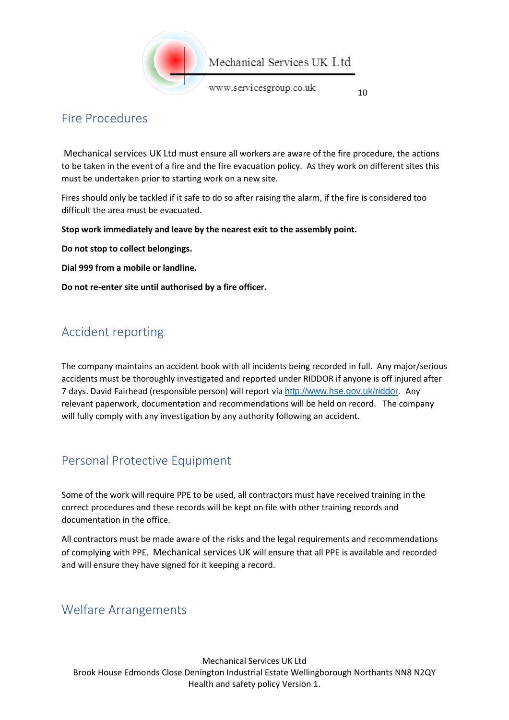

#### <span id="page-9-0"></span>Fire Procedures

Mechanical services UK Ltd must ensure all workers are aware of the fire procedure, the actions to be taken in the event of a fire and the fire evacuation policy. As they work on different sites this must be undertaken prior to starting work on a new site.

Fires should only be tackled if it safe to do so after raising the alarm, if the fire is considered too difficult the area must be evacuated.

**Stop work immediately and leave by the nearest exit to the assembly point.**

**Do not stop to collect belongings.**

**Dial 999 from a mobile or landline.**

**Do not re-enter site until authorised by a fire officer.**

#### <span id="page-9-1"></span>Accident reporting

The company maintains an accident book with all incidents being recorded in full. Any major/serious accidents must be thoroughly investigated and reported under RIDDOR if anyone is off injured after 7 days. David Fairhead (responsible person) will report via [http://www.hse.gov.uk/riddor.](http://www.hse.gov.uk/riddor/) Any relevant paperwork, documentation and recommendations will be held on record. The company will fully comply with any investigation by any authority following an accident.

#### <span id="page-9-2"></span>Personal Protective Equipment

Some of the work will require PPE to be used, all contractors must have received training in the correct procedures and these records will be kept on file with other training records and documentation in the office.

All contractors must be made aware of the risks and the legal requirements and recommendations of complying with PPE. Mechanical services UK will ensure that all PPE is available and recorded and will ensure they have signed for it keeping a record.

#### <span id="page-9-3"></span>Welfare Arrangements